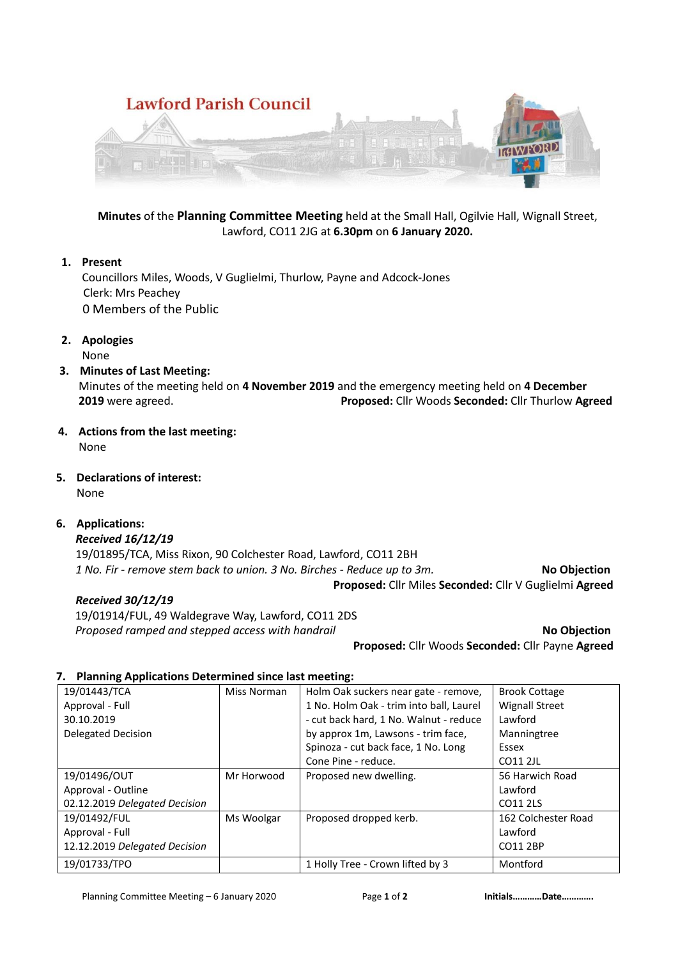

**Minutes** of the **Planning Committee Meeting** held at the Small Hall, Ogilvie Hall, Wignall Street, Lawford, CO11 2JG at **6.30pm** on **6 January 2020.**

### **1. Present**

Councillors Miles, Woods, V Guglielmi, Thurlow, Payne and Adcock-Jones Clerk: Mrs Peachey 0 Members of the Public

**2. Apologies** None

## **3. Minutes of Last Meeting:**

Minutes of the meeting held on **4 November 2019** and the emergency meeting held on **4 December 2019** were agreed. **Proposed:** Cllr Woods **Seconded:** Cllr Thurlow **Agreed**

**4. Actions from the last meeting:**

None

**5. Declarations of interest:** None

**6. Applications:**

## *Received 16/12/19*

19/01895/TCA, Miss Rixon, 90 Colchester Road, Lawford, CO11 2BH *1 No. Fir - remove stem back to union. 3 No. Birches - Reduce up to 3m.* **No Objection Proposed:** Cllr Miles **Seconded:** Cllr V Guglielmi **Agreed**

#### *Received 30/12/19*

 19/01914/FUL, 49 Waldegrave Way, Lawford, CO11 2DS **Proposed ramped and stepped access with handrail <b>No Objection No Objection** 

**Proposed:** Cllr Woods **Seconded:** Cllr Payne **Agreed**

#### **7. Planning Applications Determined since last meeting:**

| 19/01443/TCA                  | Miss Norman | Holm Oak suckers near gate - remove,    | <b>Brook Cottage</b>  |
|-------------------------------|-------------|-----------------------------------------|-----------------------|
| Approval - Full               |             | 1 No. Holm Oak - trim into ball, Laurel | <b>Wignall Street</b> |
| 30.10.2019                    |             | - cut back hard, 1 No. Walnut - reduce  | Lawford               |
| Delegated Decision            |             | by approx 1m, Lawsons - trim face,      | Manningtree           |
|                               |             | Spinoza - cut back face, 1 No. Long     | Essex                 |
|                               |             | Cone Pine - reduce.                     | CO11 2JL              |
| 19/01496/OUT                  | Mr Horwood  | Proposed new dwelling.                  | 56 Harwich Road       |
| Approval - Outline            |             |                                         | Lawford               |
| 02.12.2019 Delegated Decision |             |                                         | CO11 2LS              |
| 19/01492/FUL                  | Ms Woolgar  | Proposed dropped kerb.                  | 162 Colchester Road   |
| Approval - Full               |             |                                         | Lawford               |
| 12.12.2019 Delegated Decision |             |                                         | CO11 2BP              |
| 19/01733/TPO                  |             | 1 Holly Tree - Crown lifted by 3        | Montford              |